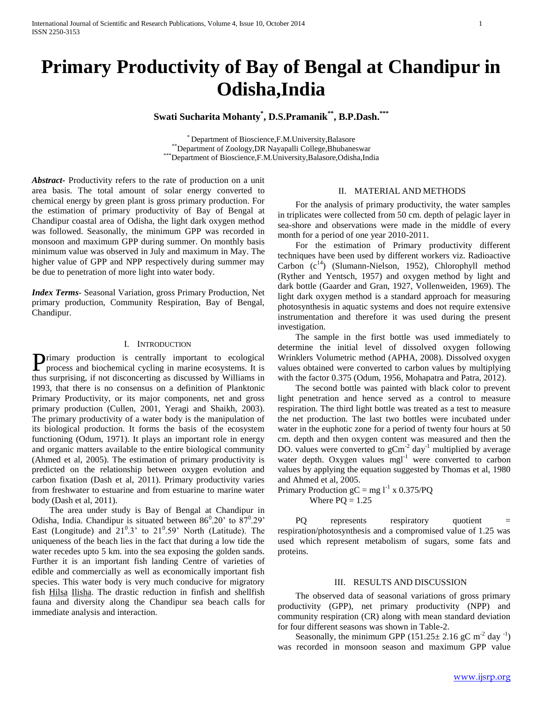# **Primary Productivity of Bay of Bengal at Chandipur in Odisha,India**

# **Swati Sucharita Mohanty\* , D.S.Pramanik\*\* , B.P.Dash.\*\*\***

\* Department of Bioscience,F.M.University,Balasore \*\*Department of Zoology,DR Nayapalli College,Bhubaneswar \*\*\*Department of Bioscience,F.M.University,Balasore,Odisha,India

*Abstract***-** Productivity refers to the rate of production on a unit area basis. The total amount of solar energy converted to chemical energy by green plant is gross primary production. For the estimation of primary productivity of Bay of Bengal at Chandipur coastal area of Odisha, the light dark oxygen method was followed. Seasonally, the minimum GPP was recorded in monsoon and maximum GPP during summer. On monthly basis minimum value was observed in July and maximum in May. The higher value of GPP and NPP respectively during summer may be due to penetration of more light into water body.

*Index Terms*- Seasonal Variation, gross Primary Production, Net primary production, Community Respiration, Bay of Bengal, Chandipur.

# I. INTRODUCTION

rimary production is centrally important to ecological **P**rimary production is centrally important to ecological process and biochemical cycling in marine ecosystems. It is thus surprising, if not disconcerting as discussed by Williams in 1993, that there is no consensus on a definition of Planktonic Primary Productivity, or its major components, net and gross primary production (Cullen, 2001, Yeragi and Shaikh, 2003). The primary productivity of a water body is the manipulation of its biological production. It forms the basis of the ecosystem functioning (Odum, 1971). It plays an important role in energy and organic matters available to the entire biological community (Ahmed et al, 2005). The estimation of primary productivity is predicted on the relationship between oxygen evolution and carbon fixation (Dash et al, 2011). Primary productivity varies from freshwater to estuarine and from estuarine to marine water body (Dash et al, 2011).

 The area under study is Bay of Bengal at Chandipur in Odisha, India. Chandipur is situated between  $86^{\circ}.20'$  to  $87^{\circ}.29'$ East (Longitude) and  $21^0.3$ ' to  $21^0.59$ ' North (Latitude). The uniqueness of the beach lies in the fact that during a low tide the water recedes upto 5 km. into the sea exposing the golden sands. Further it is an important fish landing Centre of varieties of edible and commercially as well as economically important fish species. This water body is very much conducive for migratory fish Hilsa Ilisha. The drastic reduction in finfish and shellfish fauna and diversity along the Chandipur sea beach calls for immediate analysis and interaction.

# II. MATERIAL AND METHODS

 For the analysis of primary productivity, the water samples in triplicates were collected from 50 cm. depth of pelagic layer in sea-shore and observations were made in the middle of every month for a period of one year 2010-2011.

 For the estimation of Primary productivity different techniques have been used by different workers viz. Radioactive Carbon  $(c^{14})$  (Slumann-Nielson, 1952), Chlorophyll method (Ryther and Yentsch, 1957) and oxygen method by light and dark bottle (Gaarder and Gran, 1927, Vollenweiden, 1969). The light dark oxygen method is a standard approach for measuring photosynthesis in aquatic systems and does not require extensive instrumentation and therefore it was used during the present investigation.

 The sample in the first bottle was used immediately to determine the initial level of dissolved oxygen following Wrinklers Volumetric method (APHA, 2008). Dissolved oxygen values obtained were converted to carbon values by multiplying with the factor 0.375 (Odum, 1956, Mohapatra and Patra, 2012).

 The second bottle was painted with black color to prevent light penetration and hence served as a control to measure respiration. The third light bottle was treated as a test to measure the net production. The last two bottles were incubated under water in the euphotic zone for a period of twenty four hours at 50 cm. depth and then oxygen content was measured and then the DO. values were converted to  $gCm^2$  day<sup>-1</sup> multiplied by average water depth. Oxygen values mgl<sup>-1</sup> were converted to carbon values by applying the equation suggested by Thomas et al, 1980 and Ahmed et al, 2005.

Primary Production  $gC = mg l^{-1} x 0.375/PQ$ Where  $PQ = 1.25$ 

PQ represents respiratory quotient respiration/photosynthesis and a compromised value of 1.25 was used which represent metabolism of sugars, some fats and proteins.

#### III. RESULTS AND DISCUSSION

 The observed data of seasonal variations of gross primary productivity (GPP), net primary productivity (NPP) and community respiration (CR) along with mean standard deviation for four different seasons was shown in Table-2.

Seasonally, the minimum GPP  $(151.25 \pm 2.16 \text{ gC m}^{-2} \text{ day}^{-1})$ was recorded in monsoon season and maximum GPP value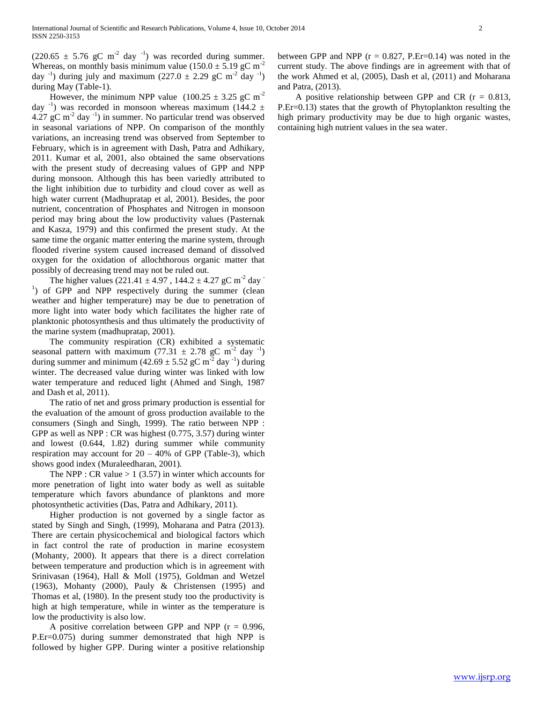$(220.65 \pm 5.76 \text{ gC m}^{-2} \text{ day}^{-1})$  was recorded during summer. Whereas, on monthly basis minimum value ( $150.0 \pm 5.19$  gC m<sup>-2</sup> day <sup>-1</sup>) during july and maximum  $(227.0 \pm 2.29 \text{ gC m}^{-2} \text{ day }^{-1})$ during May (Table-1).

However, the minimum NPP value  $(100.25 \pm 3.25 \text{ gC m}^2)$ day  $^{-1}$ ) was recorded in monsoon whereas maximum (144.2  $\pm$  $4.27 \text{ gC m}^{-2}$  day  $^{-1}$ ) in summer. No particular trend was observed in seasonal variations of NPP. On comparison of the monthly variations, an increasing trend was observed from September to February, which is in agreement with Dash, Patra and Adhikary, 2011. Kumar et al, 2001, also obtained the same observations with the present study of decreasing values of GPP and NPP during monsoon. Although this has been variedly attributed to the light inhibition due to turbidity and cloud cover as well as high water current (Madhupratap et al, 2001). Besides, the poor nutrient, concentration of Phosphates and Nitrogen in monsoon period may bring about the low productivity values (Pasternak and Kasza, 1979) and this confirmed the present study. At the same time the organic matter entering the marine system, through flooded riverine system caused increased demand of dissolved oxygen for the oxidation of allochthorous organic matter that possibly of decreasing trend may not be ruled out.

The higher values  $(221.41 \pm 4.97)$ ,  $144.2 \pm 4.27$  gC m<sup>-2</sup> day <sup>1</sup>) of GPP and NPP respectively during the summer (clean weather and higher temperature) may be due to penetration of more light into water body which facilitates the higher rate of planktonic photosynthesis and thus ultimately the productivity of the marine system (madhupratap, 2001).

 The community respiration (CR) exhibited a systematic seasonal pattern with maximum (77.31  $\pm$  2.78 gC m<sup>-2</sup> day <sup>-1</sup>) during summer and minimum  $(42.69 \pm 5.52 \text{ gC m}^2 \text{ day}^{-1})$  during winter. The decreased value during winter was linked with low water temperature and reduced light (Ahmed and Singh, 1987 and Dash et al, 2011).

 The ratio of net and gross primary production is essential for the evaluation of the amount of gross production available to the consumers (Singh and Singh, 1999). The ratio between NPP : GPP as well as NPP : CR was highest (0.775, 3.57) during winter and lowest (0.644, 1.82) during summer while community respiration may account for  $20 - 40\%$  of GPP (Table-3), which shows good index (Muraleedharan, 2001).

The NPP : CR value  $> 1$  (3.57) in winter which accounts for more penetration of light into water body as well as suitable temperature which favors abundance of planktons and more photosynthetic activities (Das, Patra and Adhikary, 2011).

 Higher production is not governed by a single factor as stated by Singh and Singh, (1999), Moharana and Patra (2013). There are certain physicochemical and biological factors which in fact control the rate of production in marine ecosystem (Mohanty, 2000). It appears that there is a direct correlation between temperature and production which is in agreement with Srinivasan (1964), Hall & Moll (1975), Goldman and Wetzel (1963), Mohanty (2000), Pauly & Christensen (1995) and Thomas et al, (1980). In the present study too the productivity is high at high temperature, while in winter as the temperature is low the productivity is also low.

A positive correlation between GPP and NPP ( $r = 0.996$ , P.Er=0.075) during summer demonstrated that high NPP is followed by higher GPP. During winter a positive relationship between GPP and NPP ( $r = 0.827$ , P.Er=0.14) was noted in the current study. The above findings are in agreement with that of the work Ahmed et al, (2005), Dash et al, (2011) and Moharana and Patra, (2013).

A positive relationship between GPP and CR  $(r = 0.813,$ P.Er=0.13) states that the growth of Phytoplankton resulting the high primary productivity may be due to high organic wastes, containing high nutrient values in the sea water.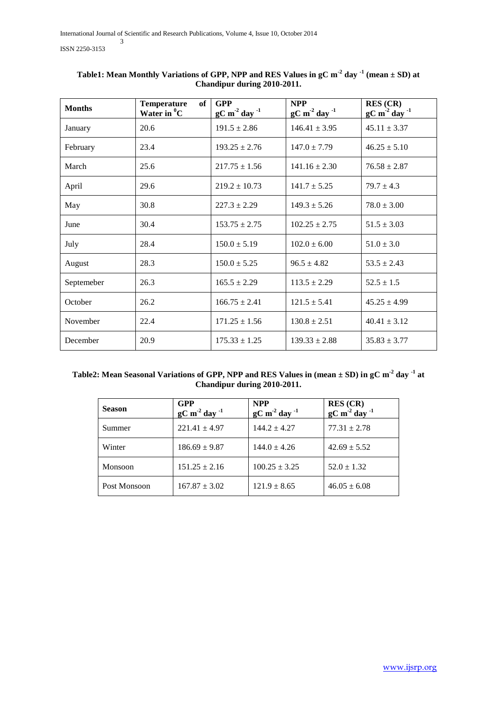| <b>Months</b> | <b>Temperature</b><br>of<br>Water in <sup>0</sup> C | <b>GPP</b><br>$\mathrm{gC} \text{ m}^2 \text{ day}^{-1}$ | <b>NPP</b><br>$gC m^2 day^{-1}$ | RES (CR)<br>$gC m^2 day^{-1}$ |  |
|---------------|-----------------------------------------------------|----------------------------------------------------------|---------------------------------|-------------------------------|--|
| January       | 20.6                                                | $191.5 \pm 2.86$                                         | $146.41 \pm 3.95$               | $45.11 \pm 3.37$              |  |
| February      | 23.4                                                | $193.25 \pm 2.76$                                        | $147.0 \pm 7.79$                | $46.25 \pm 5.10$              |  |
| March         | 25.6                                                | $217.75 \pm 1.56$                                        | $141.16 \pm 2.30$               | $76.58 \pm 2.87$              |  |
| April         | 29.6                                                | $219.2 \pm 10.73$                                        | $141.7 \pm 5.25$                | $79.7 \pm 4.3$                |  |
| May           | 30.8                                                | $227.3 \pm 2.29$                                         | $149.3 \pm 5.26$                | $78.0 \pm 3.00$               |  |
| June          | 30.4                                                | $153.75 \pm 2.75$                                        | $102.25 \pm 2.75$               | $51.5 \pm 3.03$               |  |
| July          | 28.4                                                | $150.0 \pm 5.19$                                         | $102.0 \pm 6.00$                | $51.0 \pm 3.0$                |  |
| August        | 28.3                                                | $150.0 \pm 5.25$                                         | $96.5 \pm 4.82$                 | $53.5 \pm 2.43$               |  |
| Septemeber    | 26.3                                                |                                                          | $113.5 \pm 2.29$                | $52.5 \pm 1.5$                |  |
| October       | 26.2                                                |                                                          | $121.5 \pm 5.41$                | $45.25 \pm 4.99$              |  |
| November      | 22.4                                                | $171.25 \pm 1.56$                                        | $130.8 \pm 2.51$                | $40.41 \pm 3.12$              |  |
| December      | 20.9                                                |                                                          | $139.33 \pm 2.88$               | $35.83 \pm 3.77$              |  |

| Table1: Mean Monthly Variations of GPP, NPP and RES Values in $gC m^2$ day $\frac{1}{2}$ (mean $\pm$ SD) at |  |  |  |  |  |  |
|-------------------------------------------------------------------------------------------------------------|--|--|--|--|--|--|
| Chandipur during 2010-2011.                                                                                 |  |  |  |  |  |  |

| Table2: Mean Seasonal Variations of GPP, NPP and RES Values in (mean ± SD) in gC m <sup>-2</sup> day <sup>-1</sup> at |  |
|-----------------------------------------------------------------------------------------------------------------------|--|
| Chandipur during 2010-2011.                                                                                           |  |

| <b>Season</b> | <b>GPP</b><br>$gC m-2 day-1$ | <b>NPP</b><br>$\mathrm{gC~m}^2$ day $^{-1}$ | <b>RES</b> (CR)<br>$\mathrm{gC~m}^2$ day $^{-1}$ |
|---------------|------------------------------|---------------------------------------------|--------------------------------------------------|
| Summer        | $221.41 \pm 4.97$            | $144.2 \pm 4.27$                            | $77.31 \pm 2.78$                                 |
| Winter        | $186.69 \pm 9.87$            | $144.0 \pm 4.26$                            | $42.69 \pm 5.52$                                 |
| Monsoon       | $151.25 \pm 2.16$            | $100.25 \pm 3.25$                           | $52.0 \pm 1.32$                                  |
| Post Monsoon  | $167.87 \pm 3.02$            | $121.9 \pm 8.65$                            | $46.05 \pm 6.08$                                 |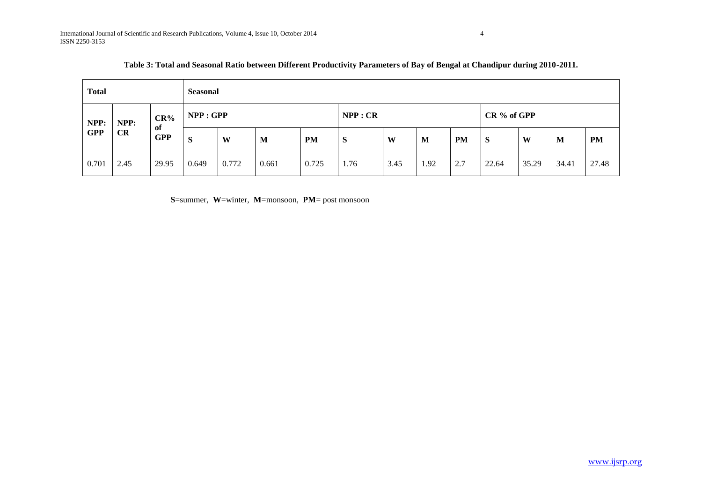| <b>Total</b>                     |      |                            | <b>Seasonal</b> |       |       |           |      |      |             |     |       |       |       |           |
|----------------------------------|------|----------------------------|-----------------|-------|-------|-----------|------|------|-------------|-----|-------|-------|-------|-----------|
| NPP:<br>NPP:<br><b>GPP</b><br>CR |      | $CR\%$<br>of<br><b>GPP</b> | NPP: GPP        |       |       | NPP:CR    |      |      | CR % of GPP |     |       |       |       |           |
|                                  |      |                            | S               | W     | M     | <b>PM</b> | S    | W    | M           | PM  | S     | W     | M     | <b>PM</b> |
| 0.701                            | 2.45 | 29.95                      | 0.649           | 0.772 | 0.661 | 0.725     | 1.76 | 3.45 | 1.92        | 2.7 | 22.64 | 35.29 | 34.41 | 27.48     |

**S**=summer, **W**=winter, **M**=monsoon, **PM**= post monsoon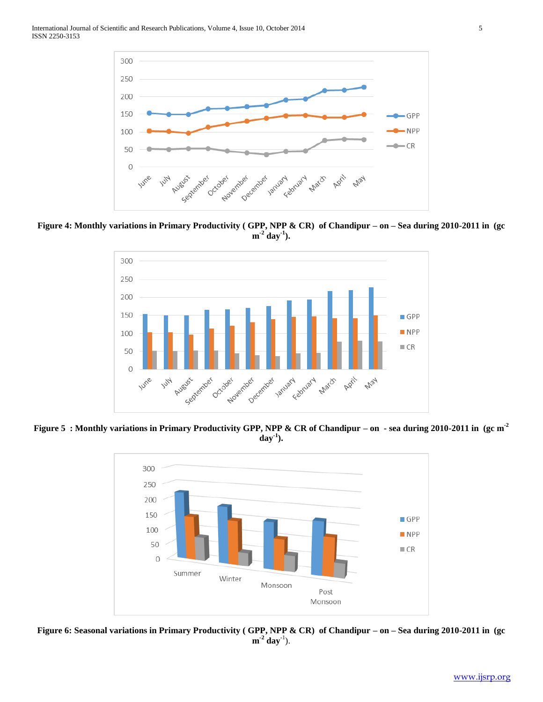

**Figure 4: Monthly variations in Primary Productivity ( GPP, NPP & CR) of Chandipur – on – Sea during 2010-2011 in (gc**   $\mathbf{m}^{-2}$  day<sup>-1</sup>).



**Figure 5 : Monthly variations in Primary Productivity GPP, NPP & CR of Chandipur – on - sea during 2010-2011 in (gc m-2 day-1 ).**



**Figure 6: Seasonal variations in Primary Productivity ( GPP, NPP & CR) of Chandipur – on – Sea during 2010-2011 in (gc**   $m^{-2}$  day<sup>-1</sup>).